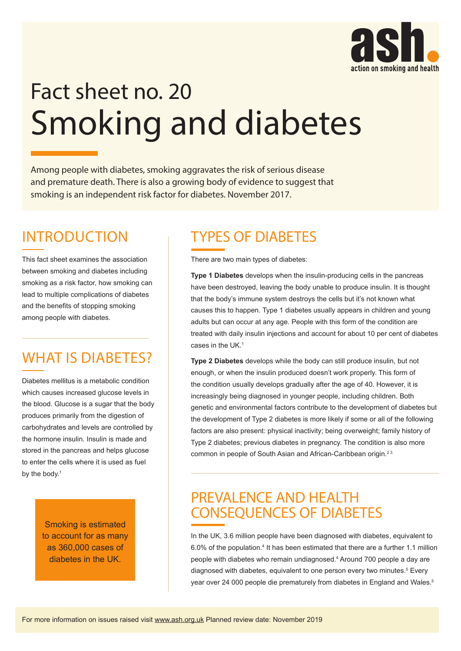

# Fact sheet no. 20 Smoking and diabetes

Among people with diabetes, smoking aggravates the risk of serious disease and premature death. There is also a growing body of evidence to suggest that smoking is an independent risk factor for diabetes. November 2017.

### INTRODUCTION

This fact sheet examines the association between smoking and diabetes including smoking as a risk factor, how smoking can lead to multiple complications of diabetes and the benefits of stopping smoking among people with diabetes.

## WHAT IS DIABETES?

Diabetes mellitus is a metabolic condition which causes increased glucose levels in the blood. Glucose is a sugar that the body produces primarily from the digestion of carbohydrates and levels are controlled by the hormone insulin. Insulin is made and stored in the pancreas and helps glucose to enter the cells where it is used as fuel by the body.<sup>1</sup>

> Smoking is estimated to account for as many as 360,000 cases of diabetes in the UK.

### TYPES OF DIABETES

There are two main types of diabetes:

**Type 1 Diabetes** develops when the insulin-producing cells in the pancreas have been destroyed, leaving the body unable to produce insulin. It is thought that the body's immune system destroys the cells but it's not known what causes this to happen. Type 1 diabetes usually appears in children and young adults but can occur at any age. People with this form of the condition are treated with daily insulin injections and account for about 10 per cent of diabetes cases in the UK.1

**Type 2 Diabetes** develops while the body can still produce insulin, but not enough, or when the insulin produced doesn't work properly. This form of the condition usually develops gradually after the age of 40. However, it is increasingly being diagnosed in younger people, including children. Both genetic and environmental factors contribute to the development of diabetes but the development of Type 2 diabetes is more likely if some or all of the following factors are also present: physical inactivity; being overweight; family history of Type 2 diabetes; previous diabetes in pregnancy. The condition is also more common in people of South Asian and African-Caribbean origin.<sup>23</sup>

#### PREVALENCE AND HEALTH CONSEQUENCES OF DIABETES

In the UK, 3.6 million people have been diagnosed with diabetes, equivalent to 6.0% of the population.<sup>4</sup> It has been estimated that there are a further 1.1 million people with diabetes who remain undiagnosed.4 Around 700 people a day are diagnosed with diabetes, equivalent to one person every two minutes.<sup>5</sup> Every year over 24 000 people die prematurely from diabetes in England and Wales.<sup>5</sup>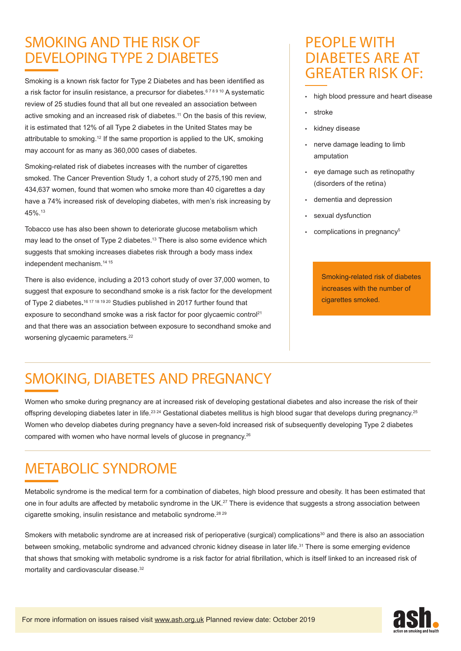## SMOKING AND THE RISK OF DEVELOPING TYPE 2 DIABETES

Smoking is a known risk factor for Type 2 Diabetes and has been identified as a risk factor for insulin resistance, a precursor for diabetes.<sup>678910</sup> A systematic review of 25 studies found that all but one revealed an association between active smoking and an increased risk of diabetes.<sup>11</sup> On the basis of this review, it is estimated that 12% of all Type 2 diabetes in the United States may be attributable to smoking.12 If the same proportion is applied to the UK, smoking may account for as many as 360,000 cases of diabetes.

Smoking-related risk of diabetes increases with the number of cigarettes smoked. The Cancer Prevention Study 1, a cohort study of 275,190 men and 434,637 women, found that women who smoke more than 40 cigarettes a day have a 74% increased risk of developing diabetes, with men's risk increasing by 45%.13

Tobacco use has also been shown to deteriorate glucose metabolism which may lead to the onset of Type 2 diabetes.<sup>13</sup> There is also some evidence which suggests that smoking increases diabetes risk through a body mass index independent mechanism.14 15

There is also evidence, including a 2013 cohort study of over 37,000 women, to suggest that exposure to secondhand smoke is a risk factor for the development of Type 2 diabetes**.** 16 17 18 19 20 Studies published in 2017 further found that exposure to secondhand smoke was a risk factor for poor glycaemic control<sup>21</sup> and that there was an association between exposure to secondhand smoke and worsening glycaemic parameters.<sup>22</sup>

#### PEOPLE WITH DIABETES ARE AT GREATER RISK OF:

- high blood pressure and heart disease
- stroke
- kidney disease
- nerve damage leading to limb amputation
- eye damage such as retinopathy (disorders of the retina)
- dementia and depression
- sexual dysfunction
- complications in pregnancy<sup>5</sup>

Smoking-related risk of diabetes increases with the number of cigarettes smoked.

# SMOKING, DIABETES AND PREGNANCY

Women who smoke during pregnancy are at increased risk of developing gestational diabetes and also increase the risk of their offspring developing diabetes later in life.<sup>23 24</sup> Gestational diabetes mellitus is high blood sugar that develops during pregnancy.<sup>25</sup> Women who develop diabetes during pregnancy have a seven-fold increased risk of subsequently developing Type 2 diabetes compared with women who have normal levels of glucose in pregnancy.26

## METABOLIC SYNDROME

Metabolic syndrome is the medical term for a combination of diabetes, high blood pressure and obesity. It has been estimated that one in four adults are affected by metabolic syndrome in the UK.<sup>27</sup> There is evidence that suggests a strong association between cigarette smoking, insulin resistance and metabolic syndrome.28 29

Smokers with metabolic syndrome are at increased risk of perioperative (surgical) complications<sup>30</sup> and there is also an association between smoking, metabolic syndrome and advanced chronic kidney disease in later life.<sup>31</sup> There is some emerging evidence that shows that smoking with metabolic syndrome is a risk factor for atrial fibrillation, which is itself linked to an increased risk of mortality and cardiovascular disease.<sup>32</sup>

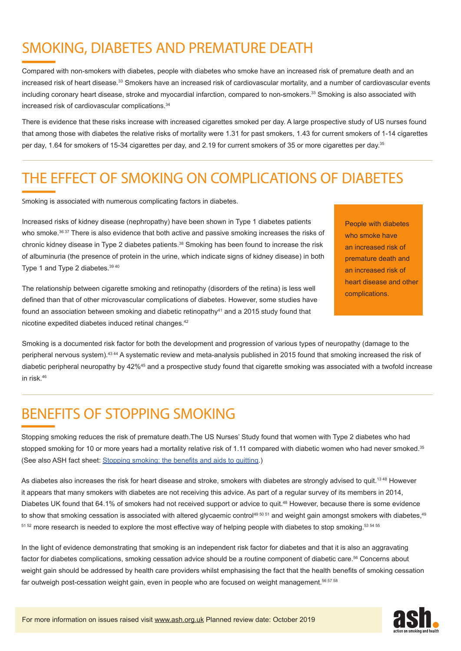# SMOKING, DIABETES AND PREMATURE DEATH

Compared with non-smokers with diabetes, people with diabetes who smoke have an increased risk of premature death and an increased risk of heart disease.<sup>33</sup> Smokers have an increased risk of cardiovascular mortality, and a number of cardiovascular events including coronary heart disease, stroke and myocardial infarction, compared to non-smokers.<sup>33</sup> Smoking is also associated with increased risk of cardiovascular complications.34

There is evidence that these risks increase with increased cigarettes smoked per day. A large prospective study of US nurses found that among those with diabetes the relative risks of mortality were 1.31 for past smokers, 1.43 for current smokers of 1-14 cigarettes per day, 1.64 for smokers of 15-34 cigarettes per day, and 2.19 for current smokers of 35 or more cigarettes per day.35

## THE EFFECT OF SMOKING ON COMPLICATIONS OF DIABETES

Smoking is associated with numerous complicating factors in diabetes.

Increased risks of kidney disease (nephropathy) have been shown in Type 1 diabetes patients who smoke.<sup>36 37</sup> There is also evidence that both active and passive smoking increases the risks of chronic kidney disease in Type 2 diabetes patients.38 Smoking has been found to increase the risk of albuminuria (the presence of protein in the urine, which indicate signs of kidney disease) in both Type 1 and Type 2 diabetes.39 40

The relationship between cigarette smoking and retinopathy (disorders of the retina) is less well defined than that of other microvascular complications of diabetes. However, some studies have found an association between smoking and diabetic retinopathy $41$  and a 2015 study found that nicotine expedited diabetes induced retinal changes.42

People with diabetes who smoke have an increased risk of premature death and an increased risk of heart disease and other complications.

Smoking is a documented risk factor for both the development and progression of various types of neuropathy (damage to the peripheral nervous system).43 44 A systematic review and meta-analysis published in 2015 found that smoking increased the risk of diabetic peripheral neuropathy by 42%<sup>45</sup> and a prospective study found that cigarette smoking was associated with a twofold increase in risk 46

## BENEFITS OF STOPPING SMOKING

Stopping smoking reduces the risk of premature death.The US Nurses' Study found that women with Type 2 diabetes who had stopped smoking for 10 or more years had a mortality relative risk of 1.11 compared with diabetic women who had never smoked.<sup>35</sup> (See also ASH fact sheet: [Stopping smoking: the benefits and aids to quitting](http://ash.org.uk/download/stopping-smoking-the-benefits-and-aids-to-quitting/).)

As diabetes also increases the risk for heart disease and stroke, smokers with diabetes are strongly advised to quit.<sup>1348</sup> However it appears that many smokers with diabetes are not receiving this advice. As part of a regular survey of its members in 2014, Diabetes UK found that 64.1% of smokers had not received support or advice to quit.<sup>48</sup> However, because there is some evidence to show that smoking cessation is associated with altered glycaemic control<sup>49 50 51</sup> and weight gain amongst smokers with diabetes,<sup>49</sup> 51 52 more research is needed to explore the most effective way of helping people with diabetes to stop smoking. 53 54 55

In the light of evidence demonstrating that smoking is an independent risk factor for diabetes and that it is also an aggravating factor for diabetes complications, smoking cessation advice should be a routine component of diabetic care.<sup>56</sup> Concerns about weight gain should be addressed by health care providers whilst emphasising the fact that the health benefits of smoking cessation far outweigh post-cessation weight gain, even in people who are focused on weight management.<sup>56 57 58</sup>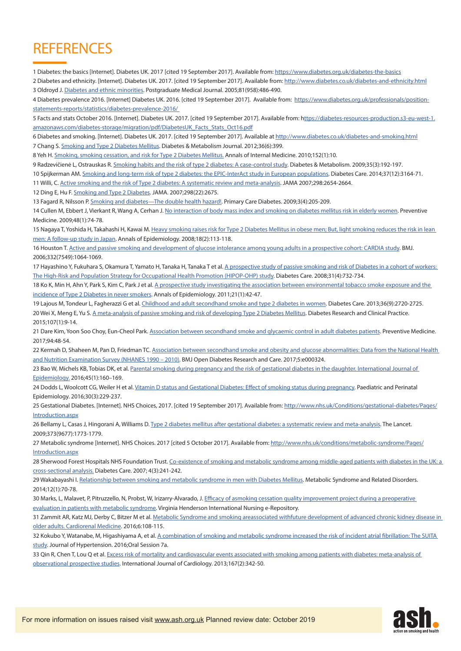## **REFERENCES**

1 Diabetes: the basics [Internet]. Diabetes UK. 2017 [cited 19 September 2017]. Available from:<https://www.diabetes.org.uk/diabetes-the-basics>

2 Diabetes and ethnicity. [Internet]. Diabetes UK. 2017. [cited 19 September 2017]. Available from:<http://www.diabetes.co.uk/diabetes-and-ethnicity.html> 3 Oldroyd J. [Diabetes and ethnic minorities.](http://pmj.bmj.com/content/81/958/486) Postgraduate Medical Journal. 2005;81(958):486-490.

4 Diabetes prevalence 2016. [Internet] Diabetes UK. 2016. [cited 19 September 2017]. Available from: [https://www.diabetes.org.uk/professionals/position](https://www.diabetes.org.uk/professionals/position-statements-reports/statistics/diabetes-prevalence)[statements-reports/statistics/diabetes-prevalence-2016/](https://www.diabetes.org.uk/professionals/position-statements-reports/statistics/diabetes-prevalence) 

5 Facts and stats October 2016. [Internet]. Diabetes UK. 2017. [cited 19 September 2017]. Available from: [https://diabetes-resources-production.s3-eu-west-1.](ttps://diabetes-resources-production.s3-eu-west-1.amazonaws.com/diabetes-storage/migration/pdf/Diabe) [amazonaws.com/diabetes-storage/migration/pdf/DiabetesUK\\_Facts\\_Stats\\_Oct16.pdf](ttps://diabetes-resources-production.s3-eu-west-1.amazonaws.com/diabetes-storage/migration/pdf/Diabe)

6 Diabetes and smoking. [Internet]. Diabetes UK. 2017. [cited 19 September 2017]. Available at<http://www.diabetes.co.uk/diabetes-and-smoking.html> 7 Chang S. [Smoking and Type 2 Diabetes Mellitus.](https://www.ncbi.nlm.nih.gov/pmc/articles/PMC3530709/) Diabetes & Metabolism Journal. 2012;36(6):399.

8 Yeh H. [Smoking, smoking cessation, and risk for Type 2 Diabetes Mellitus.](http://citeseerx.ist.psu.edu/viewdoc/download;jsessionid=288C14BE39F334886E7C7F6E50061B55?doi=10.1.1.669.9166&rep=rep1&type=pdf) Annals of Internal Medicine. 2010;152(1):10.

9 Radzevičienė L, Ostrauskas R. [Smoking habits and the risk of type 2 diabetes: A case-control study](https://www.ncbi.nlm.nih.gov/pubmed/19269874). Diabetes & Metabolism. 2009;35(3):192-197.

10 Spijkerman AM. [Smoking and long-term risk of type 2 diabetes: the EPIC-InterAct study in European populations](https://www.ncbi.nlm.nih.gov/pubmed/25336749). Diabetes Care. 2014;37(12):3164-71.

11 Willi, C. [Active smoking and the risk of Type 2 diabetes: A systematic review and meta-analysis](https://www.ncbi.nlm.nih.gov/pubmed/18073361). JAMA 2007;298:2654-2664.

12 Ding E, Hu F. [Smoking and Type 2 Diabetes.](https://www.ncbi.nlm.nih.gov/pubmed/18073361) JAMA. 2007;298(22):2675.

13 Fagard R, Nilsson P. [Smoking and diabetes—The double health hazard!](https://www.ncbi.nlm.nih.gov/pubmed/19875348). Primary Care Diabetes. 2009;3(4):205-209.

14 Cullen M, Ebbert J, Vierkant R, Wang A, Cerhan J. [No interaction of body mass index and smoking on diabetes mellitus risk in elderly women.](https://www.ncbi.nlm.nih.gov/pmc/articles/PMC2664829/) Preventive Medicine. 2009;48(1):74-78.

15 Nagaya T, Yoshida H, Takahashi H, Kawai M. Heavy smoking raises risk for Type 2 Diabetes Mellitus in obese men; But, light smoking reduces the risk in lean [men: A follow-up study in Japan](https://www.ncbi.nlm.nih.gov/pubmed/18083537). Annals of Epidemiology. 2008;18(2):113-118.

16 Houston T. [Active and passive smoking and development of glucose intolerance among young adults in a prospective cohort: CARDIA study.](https://www.ncbi.nlm.nih.gov/pmc/articles/PMC1458534/) BMJ. 2006;332(7549):1064-1069.

17 Hayashino Y, Fukuhara S, Okamura T, Yamato H, Tanaka H, Tanaka T et al. A prospective study of passive smoking and risk of Diabetes in a cohort of workers: [The High-Risk and Population Strategy for Occupational Health Promotion \(HIPOP-OHP\) study](https://www.ncbi.nlm.nih.gov/pubmed/18235051). Diabetes Care. 2008;31(4):732-734.

18 Ko K, Min H, Ahn Y, Park S, Kim C, Park J et al. A prospective study investigating the association between environmental tobacco smoke exposure and the [incidence of Type 2 Diabetes in never smokers](https://www.ncbi.nlm.nih.gov/pubmed/28433570). Annals of Epidemiology. 2011;21(1):42-47.

19 Lajous M, Tondeur L, Fagherazzi G et al. [Childhood and adult secondhand smoke and type 2 diabetes in women.](https://www.ncbi.nlm.nih.gov/pubmed/23757428) Diabetes Care. 2013;36(9):2720-2725. 20 Wei X, Meng E, Yu S. [A meta-analysis of passive smoking and risk of developing Type 2 Diabetes Mellitus.](https://www.ncbi.nlm.nih.gov/pubmed/25488377) Diabetes Research and Clinical Practice. 2015;107(1):9-14.

21 Dare Kim, Yoon Soo Choy, Eun-Cheol Park. [Association between secondhand smoke and glycaemic control in adult diabetes patients.](http://www.sciencedirect.com/science/article/pii/S0091743516303668) Preventive Medicine. 2017;94:48-54.

22 Kermah D, Shaheen M, Pan D, Friedman TC. Association between secondhand smoke and obesity and glucose abnormalities: Data from the National Health [and Nutrition Examination Survey \(NHANES 1990 – 2010\).](https://www.ncbi.nlm.nih.gov/pubmed/28405342) BMJ Open Diabetes Research and Care. 2017;5:e000324.

23 Bao W, Michels KB, Tobias DK, et al. Parental smoking during pregnancy and the risk of gestational diabetes in the daughter. International Journal of [Epidemiology.](https://www.ncbi.nlm.nih.gov/pmc/articles/PMC4881834/) 2016;45(1):160–169.

24 Dodds L, Woolcott CG, Weiler H et al. [Vitamin D status and Gestational Diabetes: Effect of smoking status during pregnancy.](https://www.ncbi.nlm.nih.gov/pubmed/26848814) Paediatric and Perinatal Epidemiology. 2016;30(3):229-237.

25 Gestational Diabetes. [Internet]. NHS Choices, 2017. [cited 19 September 2017]. Available from: [http://www.nhs.uk/Conditions/gestational-diabetes/Pages/](http://www.nhs.uk/Conditions/gestational-diabetes/Pages/Introduction.aspx) [Introduction.aspx](http://www.nhs.uk/Conditions/gestational-diabetes/Pages/Introduction.aspx)

26 Bellamy L, Casas J, Hingorani A, Williams D. [Type 2 diabetes mellitus after gestational diabetes: a systematic review and meta-analysis](https://www.ncbi.nlm.nih.gov/pubmed/19465232). The Lancet. 2009;373(9677):1773-1779.

27 Metabolic syndrome [Internet]. NHS Choices. 2017 [cited 5 October 2017]. Available from: [http://www.nhs.uk/conditions/metabolic-syndrome/Pages/](http://www.nhs.uk/conditions/metabolic-syndrome/Pages/Introduction.aspx) [Introduction.aspx](http://www.nhs.uk/conditions/metabolic-syndrome/Pages/Introduction.aspx)

28 Sherwood Forest Hospitals NHS Foundation Trust. Co-existence of smoking and metabolic syndrome among middle-aged patients with diabetes in the UK: a [cross-sectional analysis.](http://journals.sagepub.com/doi/abs/10.3132/dvdr.2007.048) Diabetes Care. 2007; 4(3):241-242.

29 Wakabayashi I. [Relationship between smoking and metabolic syndrome in men with Diabetes Mellitus](https://www.ncbi.nlm.nih.gov/pubmed/24266721). Metabolic Syndrome and Related Disorders. 2014;12(1):70-78.

30 Marks, L, Malavet, P, Pitruzzello, N, Probst, W, Irizarry-Alvarado, J. Efficacy of asmoking cessation quality improvement project during a preoperative [evaluation in patients with metabolic syndrome](http://www.nursinglibrary.org/vhl/handle/10755/601472). Virginia Henderson International Nursing e-Repository.

31 Zammit AR, Katz MJ, Derby C, Bitzer M et al. Metabolic Syndrome and smoking areassociated withfuture development of advanced chronic kidney disease in [older adults. Cardiorenal Medicine](https://www.karger.com/Article/FullText/441624). 2016;6:108-115.

32 Kokubo Y, Watanabe, M, Higashiyama A, et al. A combination of smoking and metabolic syndrome increased the risk of incident atrial fibrillation: The SUITA [study.](https://www.tripdatabase.com/doc/9170406--OP-7A-02--A-COMBINATION-OF-SMOKING-AND-METABOLIC-SYNDROME-INCREASED-THE-RISK-OF-INCIDENT-ATRIAL-FIBRILLATION#content) Journal of Hypertension. 2016;Oral Session 7a.

33 Qin R, Chen T, Lou Q et al. Excess risk of mortality and cardiovascular events associated with smoking among patients with diabetes: meta-analysis of [observational prospective studies](https://www.ncbi.nlm.nih.gov/pubmed/22251416). International Journal of Cardiology. 2013;167(2):342-50.